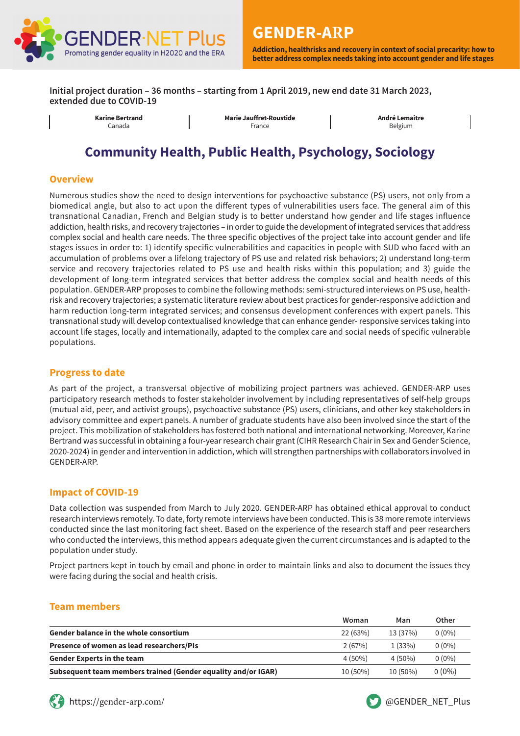

**Initial project duration – 36 months – starting from 1 April 2019, new end date 31 March 2023, extended due to COVID-19**

**Karine Bertrand** Canada

**Marie Jauffret-Roustide** France

**André Lemaître** Belgium

# **Community Health, Public Health, Psychology, Sociology**

#### **Overview**

Numerous studies show the need to design interventions for psychoactive substance (PS) users, not only from a biomedical angle, but also to act upon the different types of vulnerabilities users face. The general aim of this transnational Canadian, French and Belgian study is to better understand how gender and life stages influence addiction, health risks, and recovery trajectories – in order to guide the development of integrated services that address complex social and health care needs. The three specific objectives of the project take into account gender and life stages issues in order to: 1) identify specific vulnerabilities and capacities in people with SUD who faced with an accumulation of problems over a lifelong trajectory of PS use and related risk behaviors; 2) understand long-term service and recovery trajectories related to PS use and health risks within this population; and 3) guide the development of long-term integrated services that better address the complex social and health needs of this population. GENDER-ARP proposes to combine the following methods: semi-structured interviews on PS use, healthrisk and recovery trajectories; a systematic literature review about best practices for gender-responsive addiction and harm reduction long-term integrated services; and consensus development conferences with expert panels. This transnational study will develop contextualised knowledge that can enhance gender- responsive services taking into account life stages, locally and internationally, adapted to the complex care and social needs of specific vulnerable populations.

#### **Progress to date**

As part of the project, a transversal objective of mobilizing project partners was achieved. GENDER-ARP uses participatory research methods to foster stakeholder involvement by including representatives of self-help groups (mutual aid, peer, and activist groups), psychoactive substance (PS) users, clinicians, and other key stakeholders in advisory committee and expert panels. A number of graduate students have also been involved since the start of the project. This mobilization of stakeholders has fostered both national and international networking. Moreover, Karine Bertrand was successful in obtaining a four-year research chair grant (CIHR Research Chair in Sex and Gender Science, 2020-2024) in gender and intervention in addiction, which will strengthen partnerships with collaborators involved in GENDER-ARP.

#### **Impact of COVID-19**

Data collection was suspended from March to July 2020. GENDER-ARP has obtained ethical approval to conduct research interviews remotely. To date, forty remote interviews have been conducted. This is 38 more remote interviews conducted since the last monitoring fact sheet. Based on the experience of the research staff and peer researchers who conducted the interviews, this method appears adequate given the current circumstances and is adapted to the population under study.

Project partners kept in touch by email and phone in order to maintain links and also to document the issues they were facing during the social and health crisis.

#### **Team members**

|                                                               | Woman     | Man        | Other    |
|---------------------------------------------------------------|-----------|------------|----------|
| <b>Gender balance in the whole consortium</b>                 | 22 (63%)  | 13 (37%)   | $0(0\%)$ |
| Presence of women as lead researchers/PIs                     | 2(67%)    | 1(33%)     | $0(0\%)$ |
| <b>Gender Experts in the team</b>                             | $4(50\%)$ | $4(50\%)$  | $0(0\%)$ |
| Subsequent team members trained (Gender equality and/or IGAR) | 10 (50%)  | $10(50\%)$ | $0(0\%)$ |